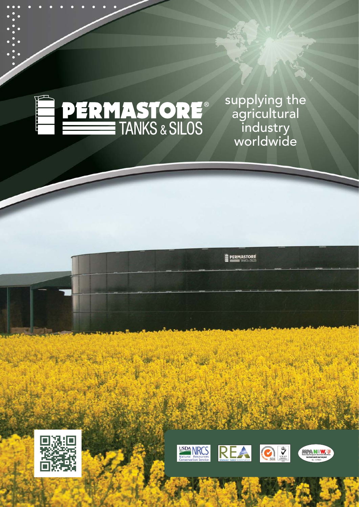

**... . . . . . . . . .**

**.. ..**

**.. ..**

**.. ..**

**.. .. .**

> supplying the agricultural industry worldwide





**E PERMASTORE**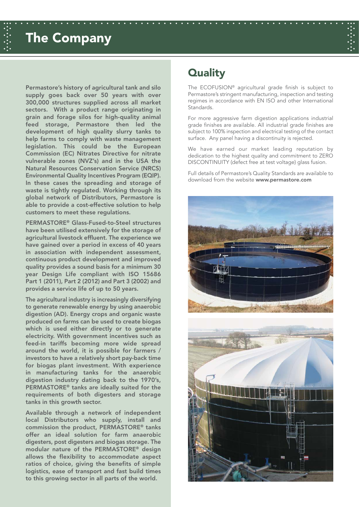# **. . . . . . . . . . . . . . . . . . . . . . . . . . . . . . . . The Company**

**... . . . . . . . . . . . . . . . . . . . . . . . . . . . . . . . . . . . . . . . . . . . . . . . . . . . . . . . . . . ...**

**Permastore's history of agricultural tank and silo supply goes back over 50 years with over 300,000 structures supplied across all market sectors. With a product range originating in grain and forage silos for high-quality animal feed storage, Permastore then led the development of high quality slurry tanks to help farms to comply with waste management legislation. This could be the European Commission (EC) Nitrates Directive for nitrate vulnerable zones (NVZ's) and in the USA the Natural Resources Conservation Service (NRCS) Environmental Quality Incentives Program (EQIP). In these cases the spreading and storage of waste is tightly regulated. Working through its global network of Distributors, Permastore is able to provide a cost-effective solution to help customers to meet these regulations.**

**PERMASTORE® Glass-Fused-to-Steel structures have been utilised extensively for the storage of agricultural livestock effluent. The experience we have gained over a period in excess of 40 years in association with independent assessment, continuous product development and improved quality provides a sound basis for a minimum 30 year Design Life compliant with ISO 15686 Part 1 (2011), Part 2 (2012) and Part 3 (2002) and provides a service life of up to 50 years.**

**The agricultural industry is increasingly diversifying to generate renewable energy by using anaerobic digestion (AD). Energy crops and organic waste produced on farms can be used to create biogas which is used either directly or to generate electricity. With government incentives such as feed-in tariffs becoming more wide spread around the world, it is possible for farmers / investors to have a relatively short pay-back time for biogas plant investment. With experience in manufacturing tanks for the anaerobic digestion industry dating back to the 1970's, PERMASTORE® tanks are ideally suited for the requirements of both digesters and storage tanks in this growth sector.** 

**Available through a network of independent local Distributors who supply, install and commission the product, PERMASTORE® tanks offer an ideal solution for farm anaerobic digesters, post digesters and biogas storage. The modular nature of the PERMASTORE® design allows the flexibility to accommodate aspect ratios of choice, giving the benefits of simple logistics, ease of transport and fast build times to this growing sector in all parts of the world.** 

# **Quality**

The ECOFUSION® agricultural grade finish is subject to Permastore's stringent manufacturing, inspection and testing regimes in accordance with EN ISO and other International **Standards** 

For more aggressive farm digestion applications industrial grade finishes are available. All industrial grade finishes are subject to 100% inspection and electrical testing of the contact surface. Any panel having a discontinuity is rejected.

We have earned our market leading reputation by dedication to the highest quality and commitment to ZERO DISCONTINUITY (defect free at test voltage) glass fusion.

Full details of Permastore's Quality Standards are available to download from the website **www.permastore.com**

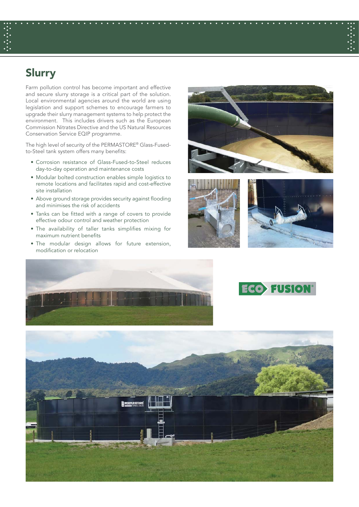# **Slurry**

Farm pollution control has become important and effective and secure slurry storage is a critical part of the solution. Local environmental agencies around the world are using legislation and support schemes to encourage farmers to upgrade their slurry management systems to help protect the environment. This includes drivers such as the European Commission Nitrates Directive and the US Natural Resources Conservation Service EQIP programme.

The high level of security of the PERMASTORE® Glass-Fusedto-Steel tank system offers many benefits:

- Corrosion resistance of Glass-Fused-to-Steel reduces day-to-day operation and maintenance costs
- Modular bolted construction enables simple logistics to remote locations and facilitates rapid and cost-effective site installation
- Above ground storage provides security against flooding and minimises the risk of accidents
- Tanks can be fitted with a range of covers to provide effective odour control and weather protection
- The availability of taller tanks simplifies mixing for maximum nutrient benefits
- The modular design allows for future extension, modification or relocation





**... . . . . . . . . . . . . . . . . . . . . . . . . . . . . . . . . . . . . . . . . . . . . . . . . . . . . . . . . . . ...**

**. . . . . . . . . . . . . . . . . . . . . . . . . . . . . . . .**







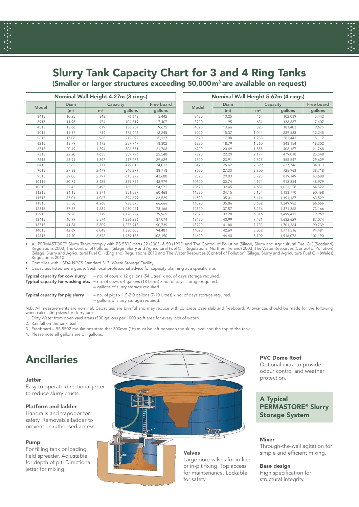# **Slurry Tank Capacity Chart for 3 and 4 Ring Tanks**

**... . . . . . . . . . . . . . . . . . . . . . . . . . . . . . . . . . . . . . . . . . . . . . . . . . . . . . . . . . . ...**

**. . . . . . . . . . . . . . . . . . . . . . . . . . . . . . . .**

**(Smaller or larger structures exceeding 50,000m3 are available on request)**

| Nominal Wall Height 4.27m (3 rings) |             |                |           |            |       | Nominal Wall Height 5.67m (4 rings) |                |            |         |  |  |  |
|-------------------------------------|-------------|----------------|-----------|------------|-------|-------------------------------------|----------------|------------|---------|--|--|--|
| Model                               | <b>Diam</b> | Capacity       |           | Free board |       | <b>Diam</b>                         | Capacity       | Free board |         |  |  |  |
|                                     | (m)         | m <sup>3</sup> | qallons   | gallons    | Model | (m)                                 | m <sup>3</sup> | gallons    | gallons |  |  |  |
| 3415                                | 10.25       | 348            | 76,643    | 5,442      | 3420  | 10.25                               | 464            | 102.039    | 5,442   |  |  |  |
| 3915                                | 11.95       | 474            | 104,319   | 7,407      | 3920  | 11.95                               | 631            | 138,887    | 7,407   |  |  |  |
| 4515                                | 13.66       | 619            | 136,254   | 9,675      | 4520  | 13.66                               | 825            | 181,403    | 9,675   |  |  |  |
| 5015                                | 15.37       | 784            | 172,446   | 12,245     | 5020  | 15.37                               | 1.044          | 229,588    | 12,245  |  |  |  |
| 5615                                | 17.08       | 968            | 212,897   | 15,117     | 5620  | 17.08                               | 1.288          | 283,443    | 15,117  |  |  |  |
| 6215                                | 18.79       | 1.172          | 257.747   | 18,302     | 6220  | 18.79                               | 1.560          | 343.154    | 18,302  |  |  |  |
| 6715                                | 20.49       | 1,394          | 306,571   | 21,768     | 6720  | 20.49                               | 1,855          | 408,157    | 21,768  |  |  |  |
| 7315                                | 22.20       | 1,635          | 359,796   | 25,548     | 7320  | 22.20                               | 2,177          | 479,018    | 25,548  |  |  |  |
| 7815                                | 23.91       | 1.897          | 417,278   | 29,629     | 7820  | 23.91                               | 2,525          | 555,547    | 29,629  |  |  |  |
| 8415                                | 25.62       | 2.177          | 479.018   | 34,013     | 8420  | 25.62                               | 2,899          | 637,746    | 34,013  |  |  |  |
| 9015                                | 27.33       | 2,479          | 545,279   | 38,718     | 9020  | 27.33                               | 3,300          | 725,963    | 38,718  |  |  |  |
| 9515                                | 29.03       | 2,797          | 615,272   | 43,688     | 9520  | 29.03                               | 3,723          | 819,149    | 43,688  |  |  |  |
| 10115                               | 30.74       | 3,135          | 689,786   | 48.979     | 10120 | 30.74                               | 4,174          | 918,354    | 48,979  |  |  |  |
| 10615                               | 32.45       | 3.493          | 768.558   | 54,572     | 10620 | 32.45                               | 4,651          | 1,023,228  | 54.572  |  |  |  |
| 11215                               | 34.15       | 3,871          | 851,587   | 60,468     | 11220 | 34.15                               | 5,154          | 1,133,770  | 60,468  |  |  |  |
| 11515                               | 35.01       | 4.067          | 894.699   | 63,529     | 11520 | 35.01                               | 5,414          | 1,191,167  | 63,529  |  |  |  |
| 11815                               | 35.86       | 4,268          | 938.875   | 66,666     | 11820 | 35.86                               | 5,682          | 1,249,982  | 66,666  |  |  |  |
| 12315                               | 37.57       | 4.684          | 1,030,421 | 73,166     | 12320 | 37.57                               | 6,236          | 1,371,862  | 73,166  |  |  |  |
| 12915                               | 39.28       | 5.119          | 1,126,224 | 79.969     | 12920 | 39.28                               | 6,816          | 1,499,411  | 79.969  |  |  |  |
| 13415                               | 40.99       | 5,574          | 1,226,286 | 87,074     | 13420 | 40.99                               | 7,421          | 1,632,629  | 87,074  |  |  |  |
| 13715                               | 41.84       | 5,809          | 1,277,913 | 90.739     | 13720 | 41.84                               | 7,733          | 1,701,364  | 90,739  |  |  |  |
| 14015                               | 42.69       | 6,048          | 1,330,605 | 94,481     | 14020 | 42.69                               | 8,052          | 1,771,516  | 94,481  |  |  |  |
| 14615                               | 44.40       | 6,542          | 1,439,183 | 102,190    | 14620 | 44.40                               | 8,709          | 1,916,072  | 102,190 |  |  |  |

All PERMASTORE® Slurry Tanks comply with BS 5502 parts 22 (2003) & 50 (1993) and The Control of Pollution (Silage, Slurry and Agricultural Fuel Oil) (Scotland)<br>Regulations 2003, The Control of Pollution (Silage, Slurry and Regulations 2003, The Control of Pollution (Silage, Slurry and Agricultural Fuel Oil) Regulations (Northern Ireland) 2003, The Water Resources (Control of Pollution)<br>(Silage, Slurry and Agricultural Fuel Oil) (England) Reg

• Complies with USDA NRCS Standard 313, Waste Storage Facility.

• Capacities listed are a guide. Seek local professional advice for capacity planning at a specific site.

**Typical capacity for cow slurry** = no. of cows x 12 gallons (54 Litres) x no. of days storage required.

**Typical capacity for washing etc.** = no. of cows x 4 gallons (18 Litres) x no. of days storage required. = gallons of slurry storage required.

- 
- **Typical capacity for pig slurry** = no. of pigs x 1.5-2.0 gallons (7-10 Litres) x no. of days storage required. = gallons of slurry storage required.

N.B. All measurements are nominal. Capacities are brimful and may reduce with concrete base slab and freeboard. Allowances should be made for the following when calculating sizes for slurry tanks:

1. Dirty Water from open yard areas (500 gallons per 1000 sq.ft area for every inch of water).

2. Rainfall on the tank itself.

- 3. Freeboard BS 5502 regulations state that 300mm (1ft) must be left between the slurry level and the top of the tank.
- 4. Please note all gallons are UK gallons.

# **Ancillaries**

#### **Jetter**

Easy to operate directional jetter to reduce slurry crusts.

## **Platform and ladder**

Handrails and trapdoor for safety. Removable ladder to prevent unauthorised access.

## **Pump**

For filling tank or loading field spreader. Adjustable for depth of pit. Directional jetter for mixing.



## **PVC Dome Roof**

Optional extra to provide odour control and weather protection.

## **A Typical PERMASTORE® Slurry Storage System**

## **Mixer**

Through-the-wall agitation for simple and efficient mixing.

#### **Base design**

High specification for structural integrity.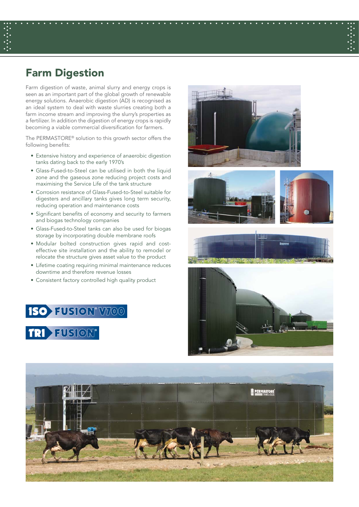## **Farm Digestion**

Farm digestion of waste, animal slurry and energy crops is seen as an important part of the global growth of renewable energy solutions. Anaerobic digestion (AD) is recognised as an ideal system to deal with waste slurries creating both a farm income stream and improving the slurry's properties as a fertilizer. In addition the digestion of energy crops is rapidly becoming a viable commercial diversification for farmers.

The PERMASTORE® solution to this growth sector offers the following benefits:

- Extensive history and experience of anaerobic digestion tanks dating back to the early 1970's
- Glass-Fused-to-Steel can be utilised in both the liquid zone and the gaseous zone reducing project costs and maximising the Service Life of the tank structure
- Corrosion resistance of Glass-Fused-to-Steel suitable for digesters and ancillary tanks gives long term security, reducing operation and maintenance costs
- Significant benefits of economy and security to farmers and biogas technology companies
- Glass-Fused-to-Steel tanks can also be used for biogas storage by incorporating double membrane roofs
- Modular bolted construction gives rapid and costeffective site installation and the ability to remodel or relocate the structure gives asset value to the product
- Lifetime coating requiring minimal maintenance reduces downtime and therefore revenue losses
- Consistent factory controlled high quality product













**... . . . . . . . . . . . . . . . . . . . . . . . . . . . . . . . . . . . . . . . . . . . . . . . . . . . . . . . . . . ...**

**. . . . . . . . . . . . . . . . . . . . . . . . . . . . . . . .**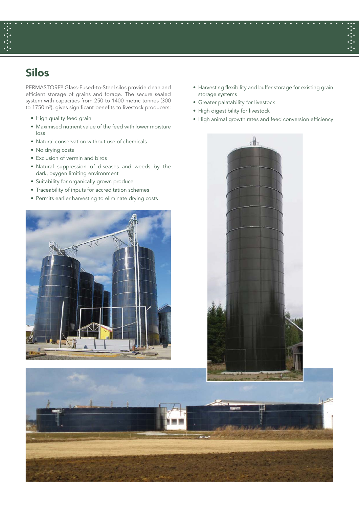# **Silos**

PERMASTORE® Glass-Fused-to-Steel silos provide clean and efficient storage of grains and forage. The secure sealed system with capacities from 250 to 1400 metric tonnes (300 to 1750m<sup>3</sup>), gives significant benefits to livestock producers:

- High quality feed grain
- Maximised nutrient value of the feed with lower moisture loss
- Natural conservation without use of chemicals
- No drying costs
- Exclusion of vermin and birds
- Natural suppression of diseases and weeds by the dark, oxygen limiting environment
- Suitability for organically grown produce
- Traceability of inputs for accreditation schemes
- Permits earlier harvesting to eliminate drying costs



- Harvesting flexibility and buffer storage for existing grain storage systems
- Greater palatability for livestock
- High digestibility for livestock

**... . . . . . . . . . . . . . . . . . . . . . . . . . . . . . . . . . . . . . . . . . . . . . . . . . . . . . . . . . . ...**

**. . . . . . . . . . . . . . . . . . . . . . . . . . . . . . . .**

• High animal growth rates and feed conversion efficiency

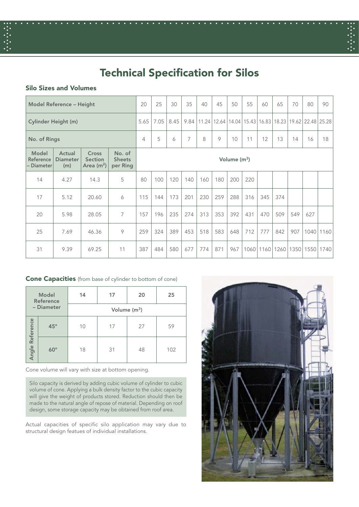

# **Technical Specification for Silos**

**... . . . . . . . . . . . . . . . . . . . . . . . . . . . . . . . . . . . . . . . . . . . . . . . . . . . . . . . . . . ...**

## **Silo Sizes and Volumes**

| Model Reference - Height                |                                  |                                        | 20                                  | 25             | 30   | 35   | 40   | 45  | 50  | 55                    | 60   | 65   | 70   | 80                                            | 90          |           |
|-----------------------------------------|----------------------------------|----------------------------------------|-------------------------------------|----------------|------|------|------|-----|-----|-----------------------|------|------|------|-----------------------------------------------|-------------|-----------|
| <b>Cylinder Height (m)</b>              |                                  |                                        |                                     | 5.65           | 7.05 | 8.45 | 9.84 |     |     | 11.24   12.64   14.04 |      |      |      | 15.43   16.83   18.23   19.62   22.48   25.28 |             |           |
| No. of Rings                            |                                  |                                        | $\overline{4}$                      | 5              | 6    | 7    | 8    | 9   | 10  | 11                    | 12   | 13   | 14   | 16                                            | 18          |           |
| <b>Model</b><br>Reference<br>– Diameter | Actual<br><b>Diameter</b><br>(m) | Cross<br><b>Section</b><br>Area $(m2)$ | No. of<br><b>Sheets</b><br>per Ring | Volume $(m^3)$ |      |      |      |     |     |                       |      |      |      |                                               |             |           |
| 14                                      | 4.27                             | 14.3                                   | 5                                   | 80             | 100  | 120  | 140  | 160 | 180 | 200                   | 220  |      |      |                                               |             |           |
| 17                                      | 5.12                             | 20.60                                  | 6                                   | 115            | 144  | 173  | 201  | 230 | 259 | 288                   | 316  | 345  | 374  |                                               |             |           |
| 20                                      | 5.98                             | 28.05                                  | $\overline{7}$                      | 157            | 196  | 235  | 274  | 313 | 353 | 392                   | 431  | 470  | 509  | 549                                           | 627         |           |
| 25                                      | 7.69                             | 46.36                                  | 9                                   | 259            | 324  | 389  | 453  | 518 | 583 | 648                   | 712  | 777  | 842  | 907                                           |             | 1040 1160 |
| 31                                      | 9.39                             | 69.25                                  | 11                                  | 387            | 484  | 580  | 677  | 774 | 871 | 967                   | 1060 | 1160 | 1260 |                                               | 1350   1550 | 1740      |

## **Cone Capacities** (from base of cylinder to bottom of cone)

|                 | <b>Model</b><br>Reference | 14             | 17 | 20 | 25  |  |  |  |  |  |
|-----------------|---------------------------|----------------|----|----|-----|--|--|--|--|--|
| - Diameter      |                           | Volume $(m^3)$ |    |    |     |  |  |  |  |  |
|                 | $45^{\circ}$              | 10             | 17 | 27 | 59  |  |  |  |  |  |
| Angle Reference | $60^\circ$                | 18             | 31 | 48 | 102 |  |  |  |  |  |

Cone volume will vary with size at bottom opening.

Silo capacity is derived by adding cubic volume of cylinder to cubic volume of cone. Applying a bulk density factor to the cubic capacity will give the weight of products stored. Reduction should then be made to the natural angle of repose of material. Depending on roof design, some storage capacity may be obtained from roof area.

Actual capacities of specific silo application may vary due to structural design featues of individual installations.